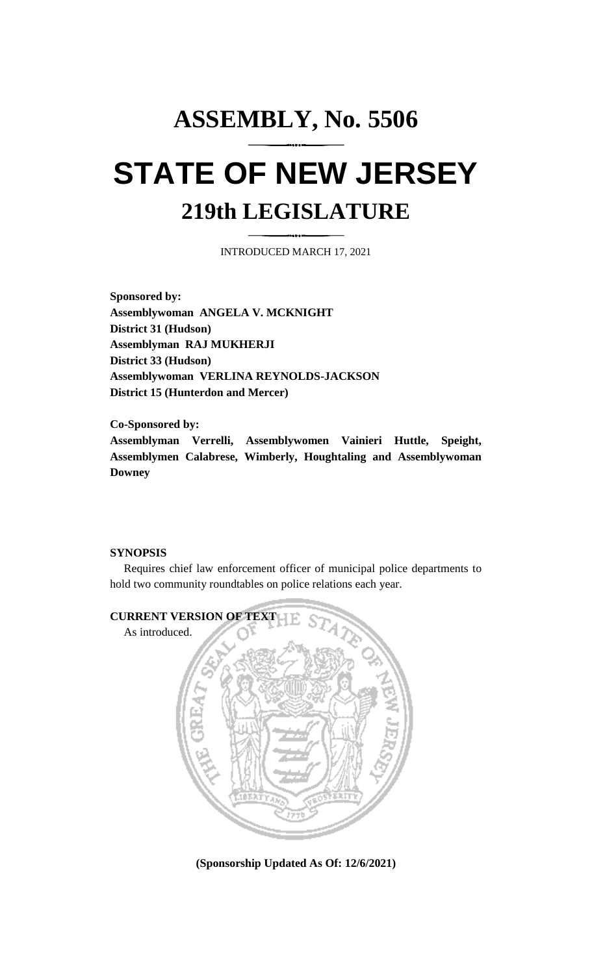## **ASSEMBLY, No. 5506 STATE OF NEW JERSEY 219th LEGISLATURE**

INTRODUCED MARCH 17, 2021

**Sponsored by: Assemblywoman ANGELA V. MCKNIGHT District 31 (Hudson) Assemblyman RAJ MUKHERJI District 33 (Hudson) Assemblywoman VERLINA REYNOLDS-JACKSON District 15 (Hunterdon and Mercer)**

**Co-Sponsored by: Assemblyman Verrelli, Assemblywomen Vainieri Huttle, Speight, Assemblymen Calabrese, Wimberly, Houghtaling and Assemblywoman Downey**

## **SYNOPSIS**

Requires chief law enforcement officer of municipal police departments to hold two community roundtables on police relations each year.



**(Sponsorship Updated As Of: 12/6/2021)**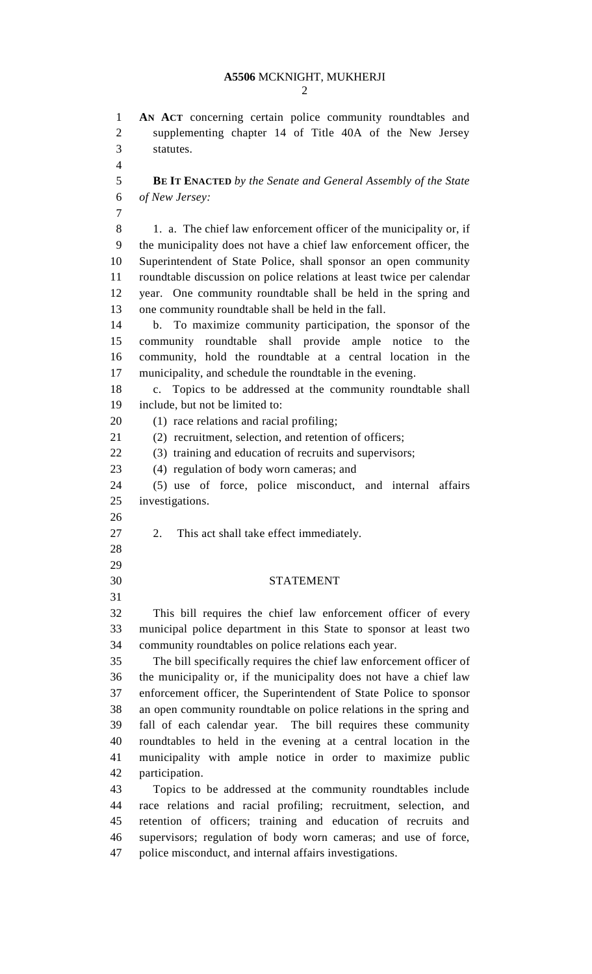## **A5506** MCKNIGHT, MUKHERJI

 **AN ACT** concerning certain police community roundtables and supplementing chapter 14 of Title 40A of the New Jersey statutes. **BE IT ENACTED** *by the Senate and General Assembly of the State of New Jersey:* 8 1. a. The chief law enforcement officer of the municipality or, if the municipality does not have a chief law enforcement officer, the Superintendent of State Police, shall sponsor an open community roundtable discussion on police relations at least twice per calendar year. One community roundtable shall be held in the spring and one community roundtable shall be held in the fall. b. To maximize community participation, the sponsor of the community roundtable shall provide ample notice to the community, hold the roundtable at a central location in the municipality, and schedule the roundtable in the evening. c. Topics to be addressed at the community roundtable shall include, but not be limited to: (1) race relations and racial profiling; (2) recruitment, selection, and retention of officers; (3) training and education of recruits and supervisors; (4) regulation of body worn cameras; and (5) use of force, police misconduct, and internal affairs investigations. 2. This act shall take effect immediately. STATEMENT This bill requires the chief law enforcement officer of every municipal police department in this State to sponsor at least two community roundtables on police relations each year. The bill specifically requires the chief law enforcement officer of the municipality or, if the municipality does not have a chief law enforcement officer, the Superintendent of State Police to sponsor an open community roundtable on police relations in the spring and fall of each calendar year. The bill requires these community roundtables to held in the evening at a central location in the municipality with ample notice in order to maximize public participation. Topics to be addressed at the community roundtables include race relations and racial profiling; recruitment, selection, and retention of officers; training and education of recruits and supervisors; regulation of body worn cameras; and use of force,

police misconduct, and internal affairs investigations.